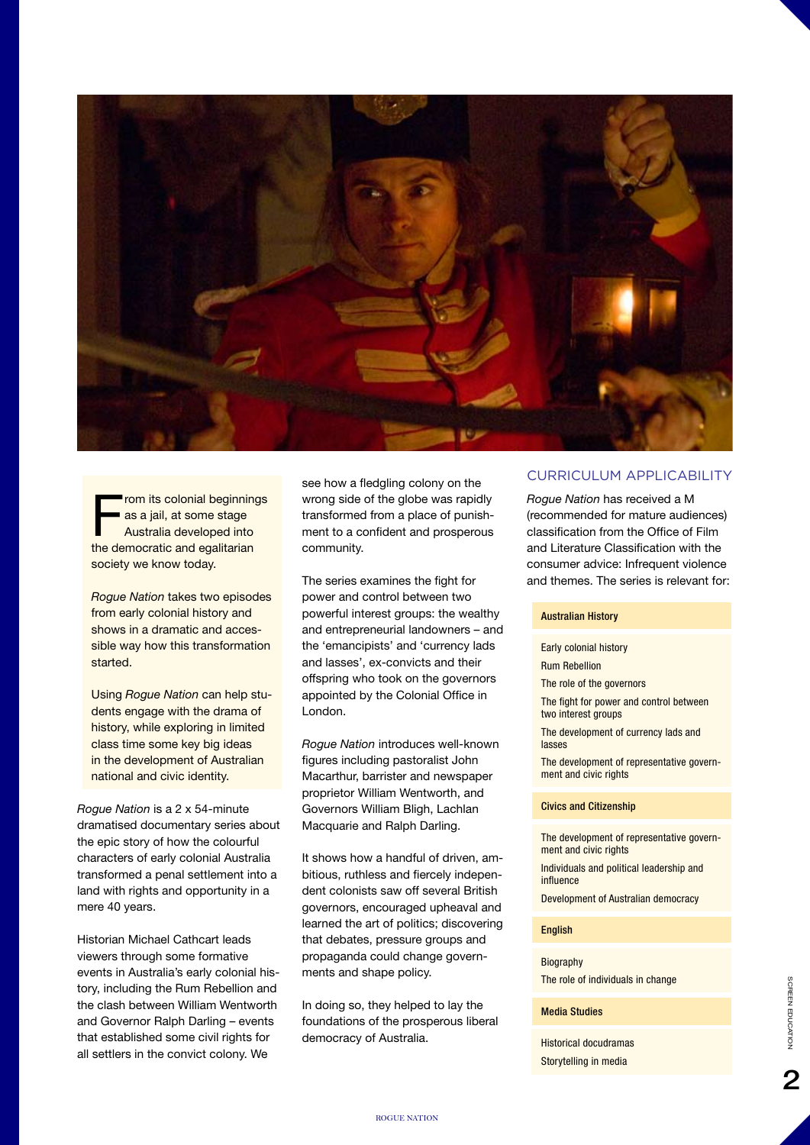

From its colonial beginnings<br>
as a jail, at some stage<br>
Australia developed into as a jail, at some stage the democratic and egalitarian society we know today.

*Rogue Nation* takes two episodes from early colonial history and shows in a dramatic and accessible way how this transformation started.

Using *Rogue Nation* can help students engage with the drama of history, while exploring in limited class time some key big ideas in the development of Australian national and civic identity.

*Rogue Nation* is a 2 x 54-minute dramatised documentary series about the epic story of how the colourful characters of early colonial Australia transformed a penal settlement into a land with rights and opportunity in a mere 40 years.

Historian Michael Cathcart leads viewers through some formative events in Australia's early colonial history, including the Rum Rebellion and the clash between William Wentworth and Governor Ralph Darling – events that established some civil rights for all settlers in the convict colony. We

see how a fledgling colony on the wrong side of the globe was rapidly transformed from a place of punishment to a confident and prosperous community.

The series examines the fight for power and control between two powerful interest groups: the wealthy and entrepreneurial landowners – and the 'emancipists' and 'currency lads and lasses', ex-convicts and their offspring who took on the governors appointed by the Colonial Office in London.

*Rogue Nation* introduces well-known figures including pastoralist John Macarthur, barrister and newspaper proprietor William Wentworth, and Governors William Bligh, Lachlan Macquarie and Ralph Darling.

It shows how a handful of driven, ambitious, ruthless and fiercely independent colonists saw off several British governors, encouraged upheaval and learned the art of politics; discovering that debates, pressure groups and propaganda could change governments and shape policy.

In doing so, they helped to lay the foundations of the prosperous liberal democracy of Australia.

## CURRICULUM APPLICABILITY

*Rogue Nation* has received a M (recommended for mature audiences) classification from the Office of Film and Literature Classification with the consumer advice: Infrequent violence and themes. The series is relevant for:

#### Australian History

Early colonial history Rum Rebellion The role of the governors The fight for power and control between two interest groups The development of currency lads and lasses The development of representative government and civic rights

#### Civics and Citizenship

The development of representative government and civic rights Individuals and political leadership and

influence

Development of Australian democracy

## English

Biography The role of individuals in change

#### Media Studies

Historical docudramas Storytelling in media

フ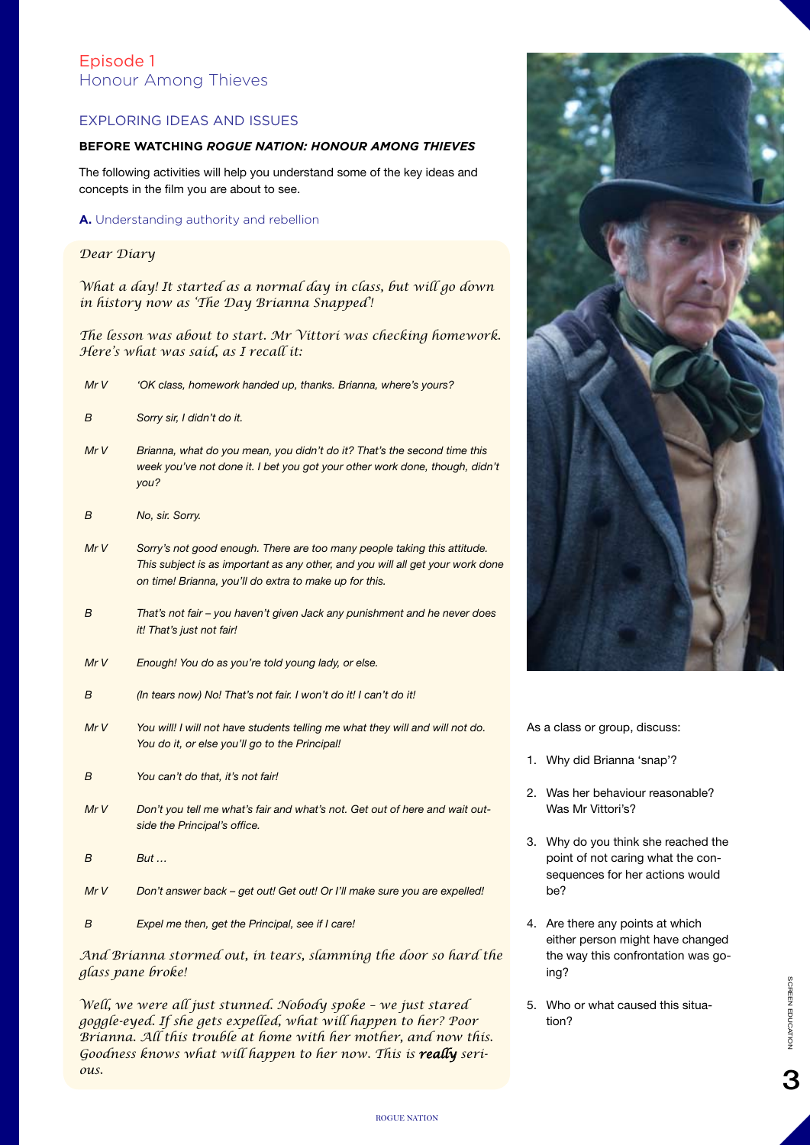# Episode 1 Honour Among Thieves

# EXPLORING IDEAS AND ISSUES

## **BEFORE WATCHING** *ROGUE NATION: HONOUR AMONG THIEVES*

The following activities will help you understand some of the key ideas and concepts in the film you are about to see.

#### **A.** Understanding authority and rebellion

#### *Dear Diary*

*What a day! It started as a normal day in class, but will go down in history now as 'The Day Brianna Snapped'!*

*The lesson was about to start. Mr Vittori was checking homework. Here's what was said, as I recall it:*

*Mr V 'OK class, homework handed up, thanks. Brianna, where's yours?*

| B   | Sorry sir, I didn't do it.                                                                                                                                                                                           |
|-----|----------------------------------------------------------------------------------------------------------------------------------------------------------------------------------------------------------------------|
| MrV | Brianna, what do you mean, you didn't do it? That's the second time this<br>week you've not done it. I bet you got your other work done, though, didn't<br>you?                                                      |
| B   | No, sir. Sorry.                                                                                                                                                                                                      |
| MrV | Sorry's not good enough. There are too many people taking this attitude.<br>This subject is as important as any other, and you will all get your work done<br>on time! Brianna, you'll do extra to make up for this. |
| B   | That's not fair – you haven't given Jack any punishment and he never does<br>it! That's just not fair!                                                                                                               |
| MrV | Enough! You do as you're told young lady, or else.                                                                                                                                                                   |
| B   | (In tears now) No! That's not fair. I won't do it! I can't do it!                                                                                                                                                    |
| MrV | You will! I will not have students telling me what they will and will not do.<br>You do it, or else you'll go to the Principal!                                                                                      |
| B   | You can't do that, it's not fair!                                                                                                                                                                                    |
| MrV | Don't you tell me what's fair and what's not. Get out of here and wait out-<br>side the Principal's office.                                                                                                          |
| B   | But                                                                                                                                                                                                                  |

*Mr V Don't answer back – get out! Get out! Or I'll make sure you are expelled!*

*B Expel me then, get the Principal, see if I care!*

*And Brianna stormed out, in tears, slamming the door so hard the glass pane broke!*

*Well, we were all just stunned. Nobody spoke – we just stared goggle-eyed. If she gets expelled, what will happen to her? Poor Brianna. All this trouble at home with her mother, and now this. Goodness knows what will happen to her now. This is really serious.*



As a class or group, discuss:

- 1. Why did Brianna 'snap'?
- 2. Was her behaviour reasonable? Was Mr Vittori's?
- 3. Why do you think she reached the point of not caring what the consequences for her actions would be?
- 4. Are there any points at which either person might have changed the way this confrontation was going?
- 5. Who or what caused this situation?

З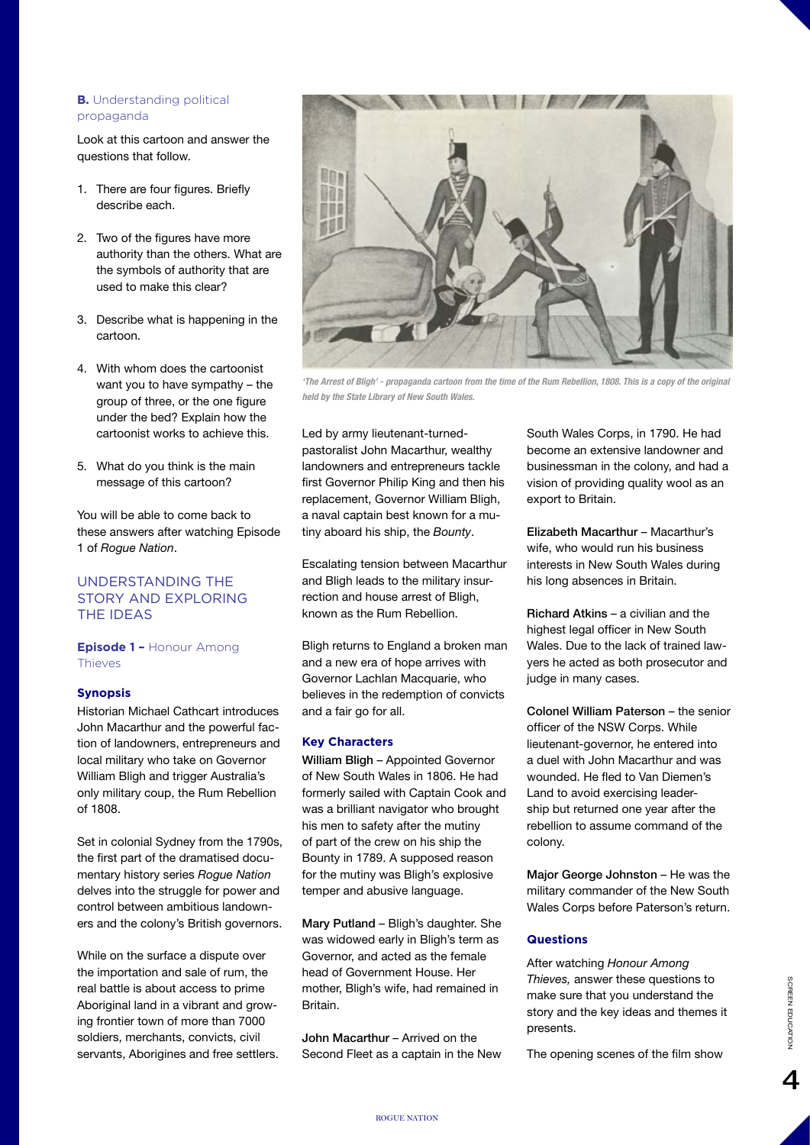#### **B.** Understanding political propaganda

Look at this cartoon and answer the questions that follow.

- 1. There are four figures. Briefly describe each.
- 2. Two of the figures have more authority than the others. What are the symbols of authority that are used to make this clear?
- 3. Describe what is happening in the cartoon.
- 4. With whom does the cartoonist want you to have sympathy – the group of three, or the one figure under the bed? Explain how the cartoonist works to achieve this.
- 5. What do you think is the main message of this cartoon?

You will be able to come back to these answers after watching Episode 1 of *Rogue Nation*.

# UNDERSTANDING THE STORY AND EXPLORING THE IDEAS

**Episode 1 –** Honour Among Thieves

#### **Synopsis**

Historian Michael Cathcart introduces John Macarthur and the powerful faction of landowners, entrepreneurs and local military who take on Governor William Bligh and trigger Australia's only military coup, the Rum Rebellion of 1808.

Set in colonial Sydney from the 1790s, the first part of the dramatised documentary history series *Rogue Nation* delves into the struggle for power and control between ambitious landowners and the colony's British governors.

While on the surface a dispute over the importation and sale of rum, the real battle is about access to prime Aboriginal land in a vibrant and growing frontier town of more than 7000 soldiers, merchants, convicts, civil servants, Aborigines and free settlers.



*'The Arrest of Bligh' - propaganda cartoon from the time of the Rum Rebellion, 1808. This is a copy of the original held by the State Library of New South Wales.*

Led by army lieutenant-turnedpastoralist John Macarthur, wealthy landowners and entrepreneurs tackle first Governor Philip King and then his replacement, Governor William Bligh, a naval captain best known for a mutiny aboard his ship, the *Bounty*.

Escalating tension between Macarthur and Bligh leads to the military insurrection and house arrest of Bligh, known as the Rum Rebellion.

Bligh returns to England a broken man and a new era of hope arrives with Governor Lachlan Macquarie, who believes in the redemption of convicts and a fair go for all.

#### **Key Characters**

William Bligh – Appointed Governor of New South Wales in 1806. He had formerly sailed with Captain Cook and was a brilliant navigator who brought his men to safety after the mutiny of part of the crew on his ship the Bounty in 1789. A supposed reason for the mutiny was Bligh's explosive temper and abusive language.

Mary Putland – Bligh's daughter. She was widowed early in Bligh's term as Governor, and acted as the female head of Government House. Her mother, Bligh's wife, had remained in Britain.

John Macarthur – Arrived on the Second Fleet as a captain in the New South Wales Corps, in 1790. He had become an extensive landowner and businessman in the colony, and had a vision of providing quality wool as an export to Britain.

Elizabeth Macarthur – Macarthur's wife, who would run his business interests in New South Wales during his long absences in Britain.

Richard Atkins – a civilian and the highest legal officer in New South Wales. Due to the lack of trained lawyers he acted as both prosecutor and judge in many cases.

Colonel William Paterson – the senior officer of the NSW Corps. While lieutenant-governor, he entered into a duel with John Macarthur and was wounded. He fled to Van Diemen's Land to avoid exercising leadership but returned one year after the rebellion to assume command of the colony.

Major George Johnston – He was the military commander of the New South Wales Corps before Paterson's return.

## **Questions**

After watching *Honour Among Thieves,* answer these questions to make sure that you understand the story and the key ideas and themes it presents.

The opening scenes of the film show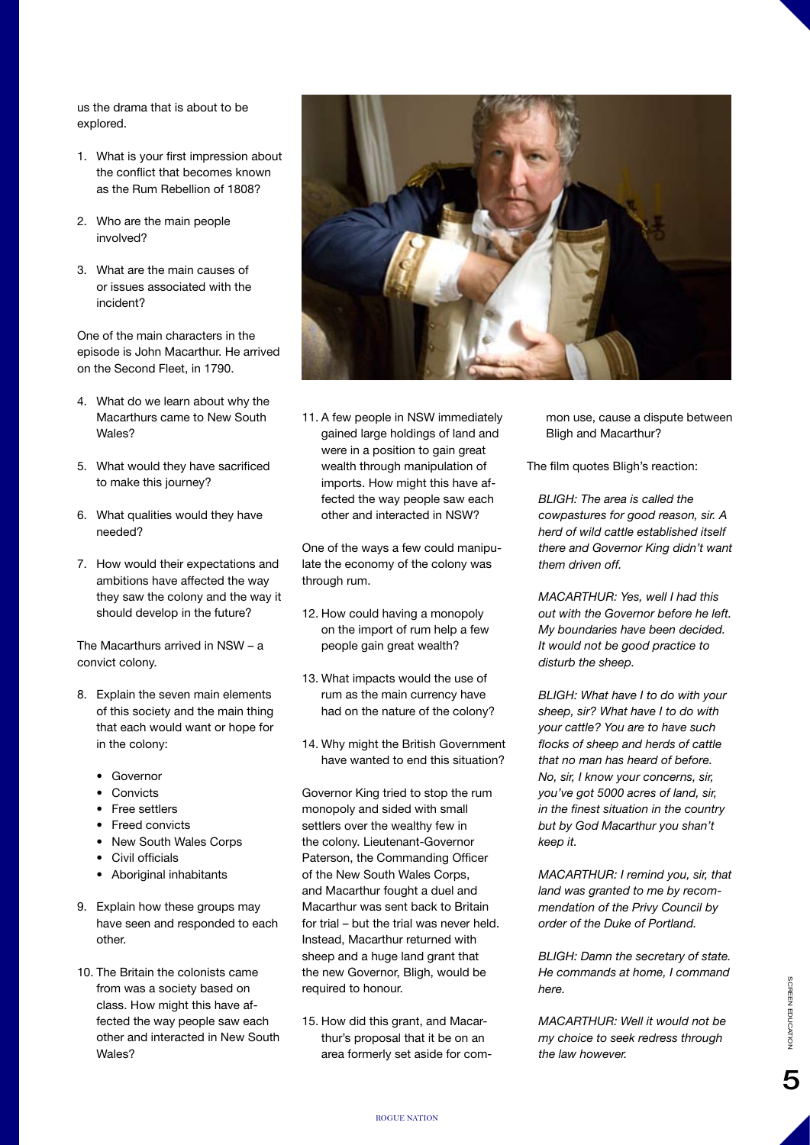us the drama that is about to be explored.

- 1. What is your first impression about the conflict that becomes known as the Rum Rebellion of 1808?
- 2. Who are the main people involved?
- 3. What are the main causes of or issues associated with the incident?

One of the main characters in the episode is John Macarthur. He arrived on the Second Fleet, in 1790.

- 4. What do we learn about why the Macarthurs came to New South Wales?
- 5. What would they have sacrificed to make this journey?
- 6. What qualities would they have needed?
- 7. How would their expectations and ambitions have affected the way they saw the colony and the way it should develop in the future?

The Macarthurs arrived in NSW – a convict colony.

- 8. Explain the seven main elements of this society and the main thing that each would want or hope for in the colony:
	- • Governor
	- • Convicts
	- **Free settlers**
	- Freed convicts
	- • New South Wales Corps
	- • Civil officials
	- • Aboriginal inhabitants
- 9. Explain how these groups may have seen and responded to each other.
- 10. The Britain the colonists came from was a society based on class. How might this have affected the way people saw each other and interacted in New South Wales?



11. A few people in NSW immediately gained large holdings of land and were in a position to gain great wealth through manipulation of imports. How might this have affected the way people saw each other and interacted in NSW?

One of the ways a few could manipulate the economy of the colony was through rum.

- 12. How could having a monopoly on the import of rum help a few people gain great wealth?
- 13. What impacts would the use of rum as the main currency have had on the nature of the colony?
- 14. Why might the British Government have wanted to end this situation?

Governor King tried to stop the rum monopoly and sided with small settlers over the wealthy few in the colony. Lieutenant-Governor Paterson, the Commanding Officer of the New South Wales Corps, and Macarthur fought a duel and Macarthur was sent back to Britain for trial – but the trial was never held. Instead, Macarthur returned with sheep and a huge land grant that the new Governor, Bligh, would be required to honour.

15. How did this grant, and Macarthur's proposal that it be on an area formerly set aside for common use, cause a dispute between Bligh and Macarthur?

The film quotes Bligh's reaction:

*BLIGH: The area is called the cowpastures for good reason, sir. A herd of wild cattle established itself there and Governor King didn't want them driven off.*

*MACARTHUR: Yes, well I had this out with the Governor before he left. My boundaries have been decided. It would not be good practice to disturb the sheep.*

*BLIGH: What have I to do with your sheep, sir? What have I to do with your cattle? You are to have such flocks of sheep and herds of cattle that no man has heard of before. No, sir, I know your concerns, sir, you've got 5000 acres of land, sir, in the finest situation in the country but by God Macarthur you shan't keep it.*

*MACARTHUR: I remind you, sir, that land was granted to me by recommendation of the Privy Council by order of the Duke of Portland.*

*BLIGH: Damn the secretary of state. He commands at home, I command here.*

*MACARTHUR: Well it would not be my choice to seek redress through the law however.*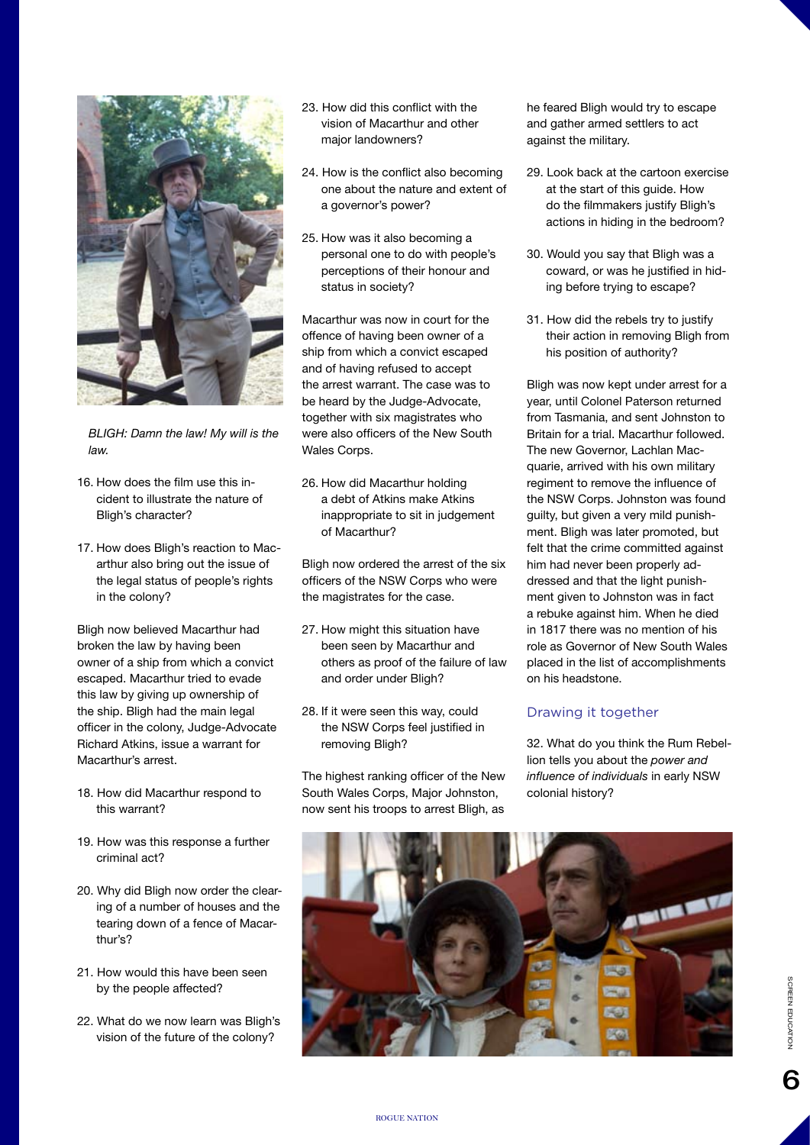

*BLIGH: Damn the law! My will is the law.*

- 16. How does the film use this incident to illustrate the nature of Bligh's character?
- 17. How does Bligh's reaction to Macarthur also bring out the issue of the legal status of people's rights in the colony?

Bligh now believed Macarthur had broken the law by having been owner of a ship from which a convict escaped. Macarthur tried to evade this law by giving up ownership of the ship. Bligh had the main legal officer in the colony, Judge-Advocate Richard Atkins, issue a warrant for Macarthur's arrest.

- 18. How did Macarthur respond to this warrant?
- 19. How was this response a further criminal act?
- 20. Why did Bligh now order the clearing of a number of houses and the tearing down of a fence of Macarthur's?
- 21. How would this have been seen by the people affected?
- 22. What do we now learn was Bligh's vision of the future of the colony?
- 23. How did this conflict with the vision of Macarthur and other major landowners?
- 24. How is the conflict also becoming one about the nature and extent of a governor's power?
- 25. How was it also becoming a personal one to do with people's perceptions of their honour and status in society?

Macarthur was now in court for the offence of having been owner of a ship from which a convict escaped and of having refused to accept the arrest warrant. The case was to be heard by the Judge-Advocate, together with six magistrates who were also officers of the New South Wales Corps.

26. How did Macarthur holding a debt of Atkins make Atkins inappropriate to sit in judgement of Macarthur?

Bligh now ordered the arrest of the six officers of the NSW Corps who were the magistrates for the case.

- 27. How might this situation have been seen by Macarthur and others as proof of the failure of law and order under Bligh?
- 28. If it were seen this way, could the NSW Corps feel justified in removing Bligh?

The highest ranking officer of the New South Wales Corps, Major Johnston, now sent his troops to arrest Bligh, as

he feared Bligh would try to escape and gather armed settlers to act against the military.

- 29. Look back at the cartoon exercise at the start of this guide. How do the filmmakers justify Bligh's actions in hiding in the bedroom?
- 30. Would you say that Bligh was a coward, or was he justified in hiding before trying to escape?
- 31. How did the rebels try to justify their action in removing Bligh from his position of authority?

Bligh was now kept under arrest for a year, until Colonel Paterson returned from Tasmania, and sent Johnston to Britain for a trial. Macarthur followed. The new Governor, Lachlan Macquarie, arrived with his own military regiment to remove the influence of the NSW Corps. Johnston was found guilty, but given a very mild punishment. Bligh was later promoted, but felt that the crime committed against him had never been properly addressed and that the light punishment given to Johnston was in fact a rebuke against him. When he died in 1817 there was no mention of his role as Governor of New South Wales placed in the list of accomplishments on his headstone.

# Drawing it together

32. What do you think the Rum Rebellion tells you about the *power and influence of individuals* in early NSW colonial history?

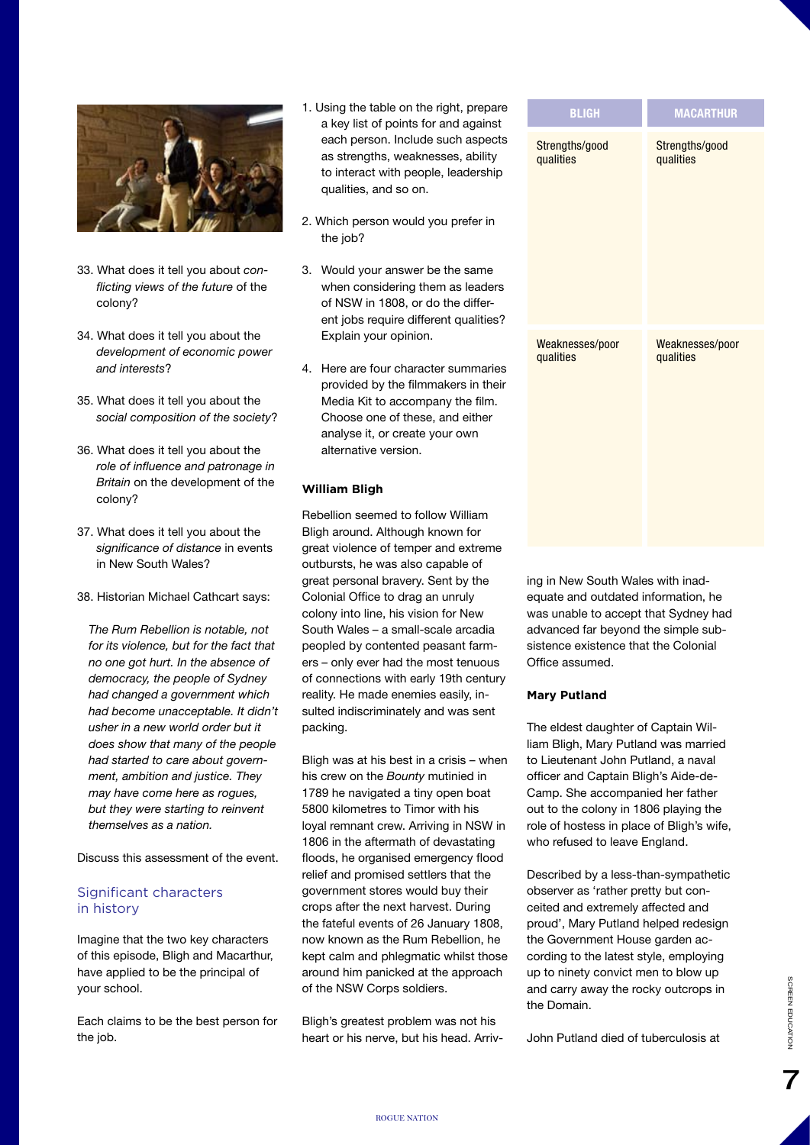

- 33. What does it tell you about *conflicting views of the future* of the colony?
- 34. What does it tell you about the *development of economic power and interests*?
- 35. What does it tell you about the *social composition of the society*?
- 36. What does it tell you about the *role of influence and patronage in Britain* on the development of the colony?
- 37. What does it tell you about the *significance of distance* in events in New South Wales?
- 38. Historian Michael Cathcart says:

*The Rum Rebellion is notable, not for its violence, but for the fact that no one got hurt. In the absence of democracy, the people of Sydney had changed a government which had become unacceptable. It didn't usher in a new world order but it does show that many of the people had started to care about government, ambition and justice. They may have come here as rogues, but they were starting to reinvent themselves as a nation.*

Discuss this assessment of the event.

# Significant characters in history

Imagine that the two key characters of this episode, Bligh and Macarthur, have applied to be the principal of your school.

Each claims to be the best person for the job.

- 1. Using the table on the right, prepare a key list of points for and against each person. Include such aspects as strengths, weaknesses, ability to interact with people, leadership qualities, and so on.
- 2. Which person would you prefer in the job?
- 3. Would your answer be the same when considering them as leaders of NSW in 1808, or do the different jobs require different qualities? Explain your opinion.
- 4. Here are four character summaries provided by the filmmakers in their Media Kit to accompany the film. Choose one of these, and either analyse it, or create your own alternative version.

## **William Bligh**

Rebellion seemed to follow William Bligh around. Although known for great violence of temper and extreme outbursts, he was also capable of great personal bravery. Sent by the Colonial Office to drag an unruly colony into line, his vision for New South Wales – a small-scale arcadia peopled by contented peasant farmers – only ever had the most tenuous of connections with early 19th century reality. He made enemies easily, insulted indiscriminately and was sent packing.

Bligh was at his best in a crisis – when his crew on the *Bounty* mutinied in 1789 he navigated a tiny open boat 5800 kilometres to Timor with his loyal remnant crew. Arriving in NSW in 1806 in the aftermath of devastating floods, he organised emergency flood relief and promised settlers that the government stores would buy their crops after the next harvest. During the fateful events of 26 January 1808, now known as the Rum Rebellion, he kept calm and phlegmatic whilst those around him panicked at the approach of the NSW Corps soldiers.

Bligh's greatest problem was not his heart or his nerve, but his head. Arriv-

| Э      | <b>BLIGH</b>                 | <b>MACARTHUR</b>             |
|--------|------------------------------|------------------------------|
| s      | Strengths/good<br>qualities  | Strengths/good<br>qualities  |
| ś<br>ŕ | Weaknesses/poor<br>qualities | Weaknesses/poor<br>qualities |

ing in New South Wales with inadequate and outdated information, he was unable to accept that Sydney had advanced far beyond the simple subsistence existence that the Colonial Office assumed.

## **Mary Putland**

The eldest daughter of Captain William Bligh, Mary Putland was married to Lieutenant John Putland, a naval officer and Captain Bligh's Aide-de-Camp. She accompanied her father out to the colony in 1806 playing the role of hostess in place of Bligh's wife, who refused to leave England.

Described by a less-than-sympathetic observer as 'rather pretty but conceited and extremely affected and proud', Mary Putland helped redesign the Government House garden according to the latest style, employing up to ninety convict men to blow up and carry away the rocky outcrops in the Domain.

John Putland died of tuberculosis at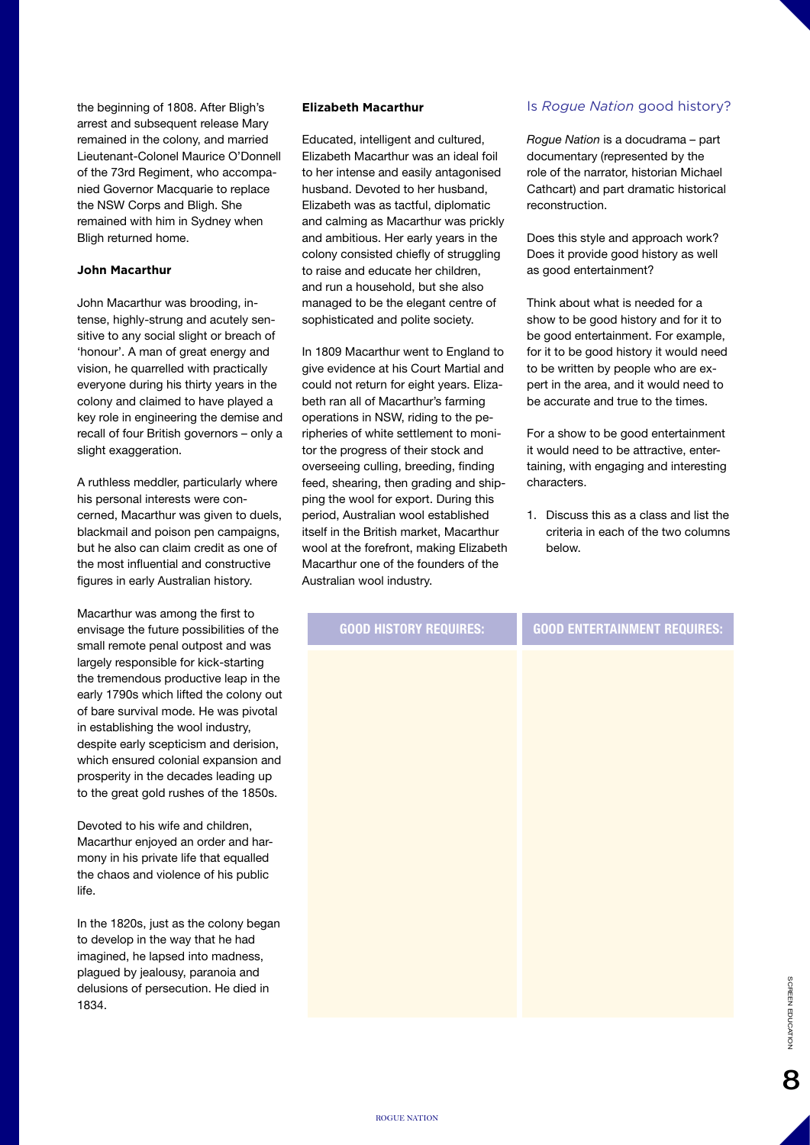the beginning of 1808. After Bligh's arrest and subsequent release Mary remained in the colony, and married Lieutenant-Colonel Maurice O'Donnell of the 73rd Regiment, who accompanied Governor Macquarie to replace the NSW Corps and Bligh. She remained with him in Sydney when Bligh returned home.

#### **John Macarthur**

John Macarthur was brooding, intense, highly-strung and acutely sensitive to any social slight or breach of 'honour'. A man of great energy and vision, he quarrelled with practically everyone during his thirty years in the colony and claimed to have played a key role in engineering the demise and recall of four British governors – only a slight exaggeration.

A ruthless meddler, particularly where his personal interests were concerned, Macarthur was given to duels, blackmail and poison pen campaigns, but he also can claim credit as one of the most influential and constructive figures in early Australian history.

Macarthur was among the first to envisage the future possibilities of the small remote penal outpost and was largely responsible for kick-starting the tremendous productive leap in the early 1790s which lifted the colony out of bare survival mode. He was pivotal in establishing the wool industry, despite early scepticism and derision, which ensured colonial expansion and prosperity in the decades leading up to the great gold rushes of the 1850s.

Devoted to his wife and children, Macarthur enjoyed an order and harmony in his private life that equalled the chaos and violence of his public life.

In the 1820s, just as the colony began to develop in the way that he had imagined, he lapsed into madness, plagued by jealousy, paranoia and delusions of persecution. He died in 1834.

#### **Elizabeth Macarthur**

Educated, intelligent and cultured, Elizabeth Macarthur was an ideal foil to her intense and easily antagonised husband. Devoted to her husband, Elizabeth was as tactful, diplomatic and calming as Macarthur was prickly and ambitious. Her early years in the colony consisted chiefly of struggling to raise and educate her children, and run a household, but she also managed to be the elegant centre of sophisticated and polite society.

In 1809 Macarthur went to England to give evidence at his Court Martial and could not return for eight years. Elizabeth ran all of Macarthur's farming operations in NSW, riding to the peripheries of white settlement to monitor the progress of their stock and overseeing culling, breeding, finding feed, shearing, then grading and shipping the wool for export. During this period, Australian wool established itself in the British market, Macarthur wool at the forefront, making Elizabeth Macarthur one of the founders of the Australian wool industry.

## Is *Rogue Nation* good history?

*Rogue Nation* is a docudrama – part documentary (represented by the role of the narrator, historian Michael Cathcart) and part dramatic historical reconstruction.

Does this style and approach work? Does it provide good history as well as good entertainment?

Think about what is needed for a show to be good history and for it to be good entertainment. For example, for it to be good history it would need to be written by people who are expert in the area, and it would need to be accurate and true to the times.

For a show to be good entertainment it would need to be attractive, entertaining, with engaging and interesting characters.

1. Discuss this as a class and list the criteria in each of the two columns below.

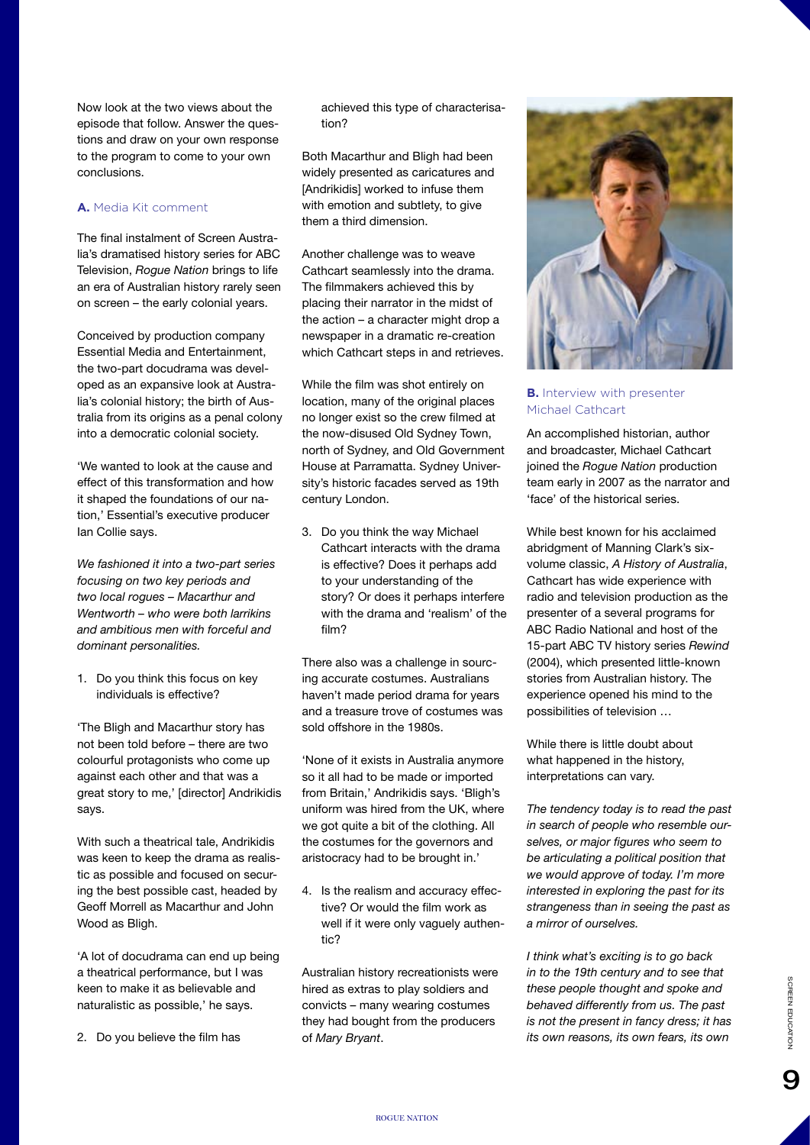Now look at the two views about the episode that follow. Answer the questions and draw on your own response to the program to come to your own conclusions.

## **A.** Media Kit comment

The final instalment of Screen Australia's dramatised history series for ABC Television, *Rogue Nation* brings to life an era of Australian history rarely seen on screen – the early colonial years.

Conceived by production company Essential Media and Entertainment, the two-part docudrama was developed as an expansive look at Australia's colonial history; the birth of Australia from its origins as a penal colony into a democratic colonial society.

'We wanted to look at the cause and effect of this transformation and how it shaped the foundations of our nation,' Essential's executive producer Ian Collie says.

*We fashioned it into a two-part series focusing on two key periods and two local rogues – Macarthur and Wentworth – who were both larrikins and ambitious men with forceful and dominant personalities.*

1. Do you think this focus on key individuals is effective?

'The Bligh and Macarthur story has not been told before – there are two colourful protagonists who come up against each other and that was a great story to me,' [director] Andrikidis says.

With such a theatrical tale, Andrikidis was keen to keep the drama as realistic as possible and focused on securing the best possible cast, headed by Geoff Morrell as Macarthur and John Wood as Bligh.

'A lot of docudrama can end up being a theatrical performance, but I was keen to make it as believable and naturalistic as possible,' he says.

2. Do you believe the film has

achieved this type of characterisation?

Both Macarthur and Bligh had been widely presented as caricatures and [Andrikidis] worked to infuse them with emotion and subtlety, to give them a third dimension.

Another challenge was to weave Cathcart seamlessly into the drama. The filmmakers achieved this by placing their narrator in the midst of the action – a character might drop a newspaper in a dramatic re-creation which Cathcart steps in and retrieves.

While the film was shot entirely on location, many of the original places no longer exist so the crew filmed at the now-disused Old Sydney Town, north of Sydney, and Old Government House at Parramatta. Sydney University's historic facades served as 19th century London.

3. Do you think the way Michael Cathcart interacts with the drama is effective? Does it perhaps add to your understanding of the story? Or does it perhaps interfere with the drama and 'realism' of the film?

There also was a challenge in sourcing accurate costumes. Australians haven't made period drama for years and a treasure trove of costumes was sold offshore in the 1980s.

'None of it exists in Australia anymore so it all had to be made or imported from Britain,' Andrikidis says. 'Bligh's uniform was hired from the UK, where we got quite a bit of the clothing. All the costumes for the governors and aristocracy had to be brought in.'

4. Is the realism and accuracy effective? Or would the film work as well if it were only vaguely authentic?

Australian history recreationists were hired as extras to play soldiers and convicts – many wearing costumes they had bought from the producers of *Mary Bryant*.



## **B.** Interview with presenter Michael Cathcart

An accomplished historian, author and broadcaster, Michael Cathcart joined the *Rogue Nation* production team early in 2007 as the narrator and 'face' of the historical series.

While best known for his acclaimed abridgment of Manning Clark's sixvolume classic, *A History of Australia*, Cathcart has wide experience with radio and television production as the presenter of a several programs for ABC Radio National and host of the 15-part ABC TV history series *Rewind* (2004), which presented little-known stories from Australian history. The experience opened his mind to the possibilities of television …

While there is little doubt about what happened in the history, interpretations can vary.

*The tendency today is to read the past in search of people who resemble ourselves, or major figures who seem to be articulating a political position that we would approve of today. I'm more interested in exploring the past for its strangeness than in seeing the past as a mirror of ourselves.*

*I think what's exciting is to go back in to the 19th century and to see that these people thought and spoke and behaved differently from us. The past is not the present in fancy dress; it has its own reasons, its own fears, its own*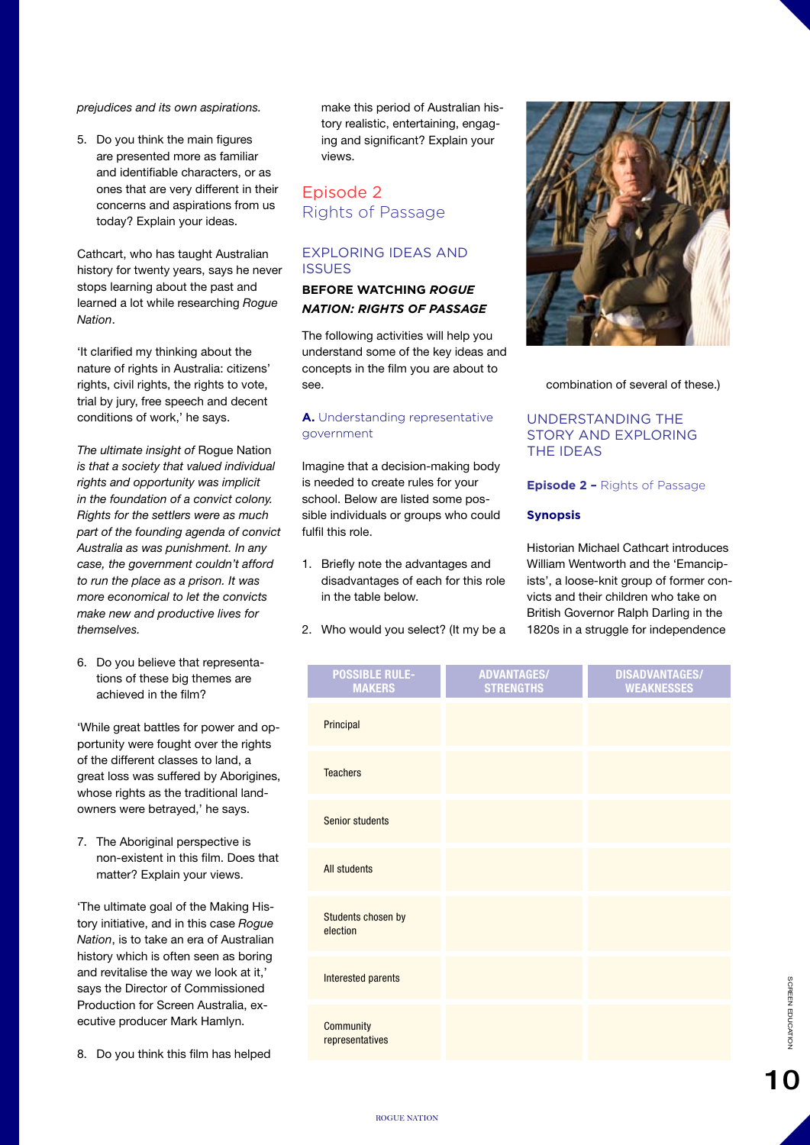*prejudices and its own aspirations.*

5. Do you think the main figures are presented more as familiar and identifiable characters, or as ones that are very different in their concerns and aspirations from us today? Explain your ideas.

Cathcart, who has taught Australian history for twenty years, says he never stops learning about the past and learned a lot while researching *Rogue Nation*.

'It clarified my thinking about the nature of rights in Australia: citizens' rights, civil rights, the rights to vote, trial by jury, free speech and decent conditions of work,' he says.

*The ultimate insight of* Rogue Nation *is that a society that valued individual rights and opportunity was implicit in the foundation of a convict colony. Rights for the settlers were as much part of the founding agenda of convict Australia as was punishment. In any case, the government couldn't afford to run the place as a prison. It was more economical to let the convicts make new and productive lives for themselves.*

6. Do you believe that representations of these big themes are achieved in the film?

'While great battles for power and opportunity were fought over the rights of the different classes to land, a great loss was suffered by Aborigines, whose rights as the traditional landowners were betrayed,' he says.

7. The Aboriginal perspective is non-existent in this film. Does that matter? Explain your views.

'The ultimate goal of the Making History initiative, and in this case *Rogue Nation*, is to take an era of Australian history which is often seen as boring and revitalise the way we look at it,' says the Director of Commissioned Production for Screen Australia, executive producer Mark Hamlyn.

8. Do you think this film has helped

make this period of Australian history realistic, entertaining, engaging and significant? Explain your views.

# Episode 2 Rights of Passage

# EXPLORING IDEAS AND **ISSUES**

# **BEFORE WATCHING** *ROGUE NATION: RIGHTS OF PASSAGE*

The following activities will help you understand some of the key ideas and concepts in the film you are about to see.

## **A.** Understanding representative government

Imagine that a decision-making body is needed to create rules for your school. Below are listed some possible individuals or groups who could fulfil this role.

- 1. Briefly note the advantages and disadvantages of each for this role in the table below.
- 2. Who would you select? (It my be a



combination of several of these.)

# UNDERSTANDING THE STORY AND EXPLORING THE IDEAS

## **Episode 2 –** Rights of Passage

# **Synopsis**

Historian Michael Cathcart introduces William Wentworth and the 'Emancipists', a loose-knit group of former convicts and their children who take on British Governor Ralph Darling in the 1820s in a struggle for independence

| <b>POSSIBLE RULE-</b><br><b>MAKERS</b> | <b>ADVANTAGES/</b><br><b>STRENGTHS</b> | <b>DISADVANTAGES/</b><br><b>WEAKNESSES</b> |
|----------------------------------------|----------------------------------------|--------------------------------------------|
| Principal                              |                                        |                                            |
| <b>Teachers</b>                        |                                        |                                            |
| Senior students                        |                                        |                                            |
| <b>All students</b>                    |                                        |                                            |
| Students chosen by<br>election         |                                        |                                            |
| Interested parents                     |                                        |                                            |
| <b>Community</b><br>representatives    |                                        |                                            |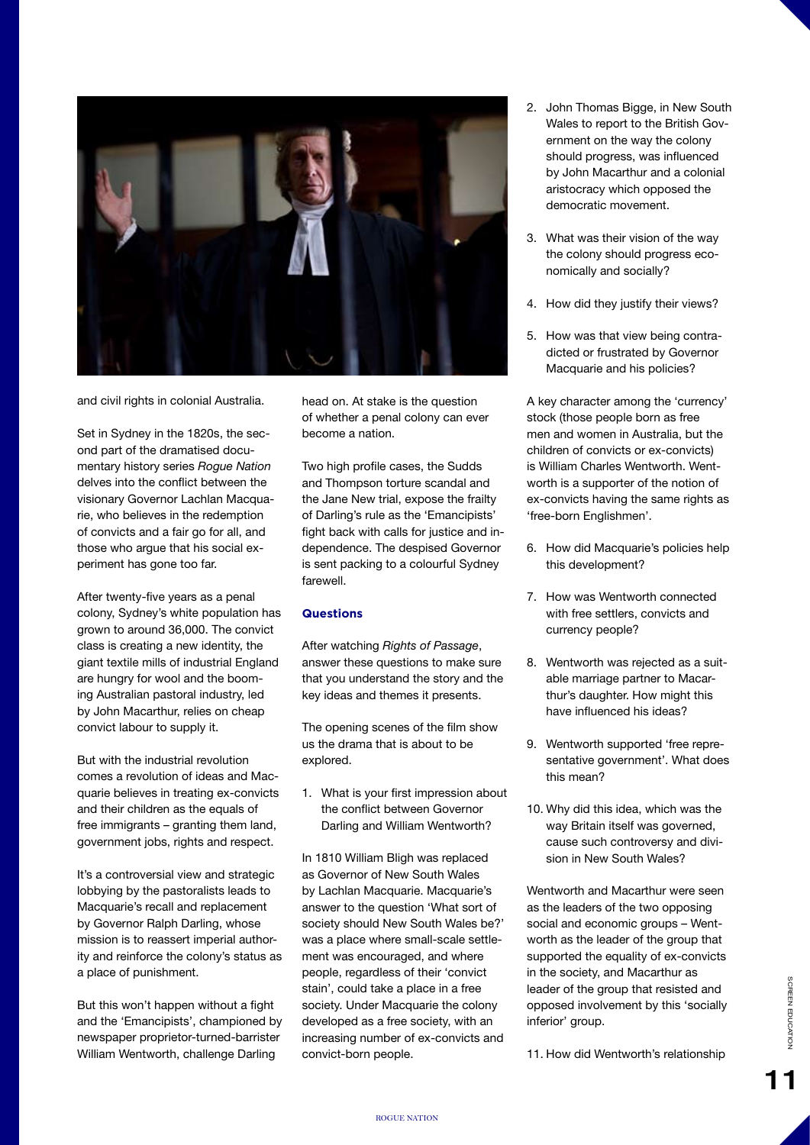

and civil rights in colonial Australia.

Set in Sydney in the 1820s, the second part of the dramatised documentary history series *Rogue Nation* delves into the conflict between the visionary Governor Lachlan Macquarie, who believes in the redemption of convicts and a fair go for all, and those who argue that his social experiment has gone too far.

After twenty-five years as a penal colony, Sydney's white population has grown to around 36,000. The convict class is creating a new identity, the giant textile mills of industrial England are hungry for wool and the booming Australian pastoral industry, led by John Macarthur, relies on cheap convict labour to supply it.

But with the industrial revolution comes a revolution of ideas and Macquarie believes in treating ex-convicts and their children as the equals of free immigrants – granting them land, government jobs, rights and respect.

It's a controversial view and strategic lobbying by the pastoralists leads to Macquarie's recall and replacement by Governor Ralph Darling, whose mission is to reassert imperial authority and reinforce the colony's status as a place of punishment.

But this won't happen without a fight and the 'Emancipists', championed by newspaper proprietor-turned-barrister William Wentworth, challenge Darling

head on. At stake is the question of whether a penal colony can ever become a nation.

Two high profile cases, the Sudds and Thompson torture scandal and the Jane New trial, expose the frailty of Darling's rule as the 'Emancipists' fight back with calls for justice and independence. The despised Governor is sent packing to a colourful Sydney farewell.

## **Questions**

After watching *Rights of Passage*, answer these questions to make sure that you understand the story and the key ideas and themes it presents.

The opening scenes of the film show us the drama that is about to be explored.

1. What is your first impression about the conflict between Governor Darling and William Wentworth?

In 1810 William Bligh was replaced as Governor of New South Wales by Lachlan Macquarie. Macquarie's answer to the question 'What sort of society should New South Wales be?' was a place where small-scale settlement was encouraged, and where people, regardless of their 'convict stain', could take a place in a free society. Under Macquarie the colony developed as a free society, with an increasing number of ex-convicts and convict-born people.

- 2. John Thomas Bigge, in New South Wales to report to the British Government on the way the colony should progress, was influenced by John Macarthur and a colonial aristocracy which opposed the democratic movement.
- 3. What was their vision of the way the colony should progress economically and socially?
- 4. How did they justify their views?
- 5. How was that view being contradicted or frustrated by Governor Macquarie and his policies?

A key character among the 'currency' stock (those people born as free men and women in Australia, but the children of convicts or ex-convicts) is William Charles Wentworth. Wentworth is a supporter of the notion of ex-convicts having the same rights as 'free-born Englishmen'.

- 6. How did Macquarie's policies help this development?
- 7. How was Wentworth connected with free settlers, convicts and currency people?
- 8. Wentworth was rejected as a suitable marriage partner to Macarthur's daughter. How might this have influenced his ideas?
- 9. Wentworth supported 'free representative government'. What does this mean?
- 10. Why did this idea, which was the way Britain itself was governed, cause such controversy and division in New South Wales?

Wentworth and Macarthur were seen as the leaders of the two opposing social and economic groups – Wentworth as the leader of the group that supported the equality of ex-convicts in the society, and Macarthur as leader of the group that resisted and opposed involvement by this 'socially inferior' group.

11. How did Wentworth's relationship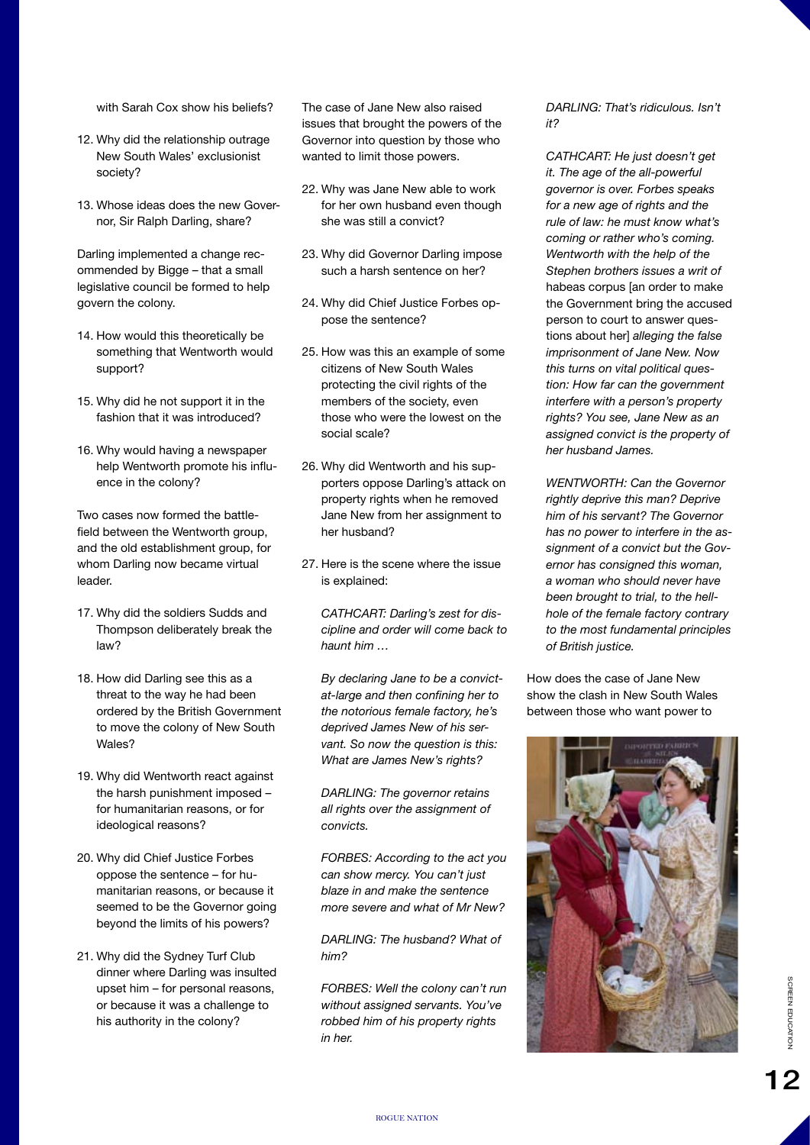with Sarah Cox show his beliefs?

- 12. Why did the relationship outrage New South Wales' exclusionist society?
- 13. Whose ideas does the new Governor, Sir Ralph Darling, share?

Darling implemented a change recommended by Bigge – that a small legislative council be formed to help govern the colony.

- 14. How would this theoretically be something that Wentworth would support?
- 15. Why did he not support it in the fashion that it was introduced?
- 16. Why would having a newspaper help Wentworth promote his influence in the colony?

Two cases now formed the battlefield between the Wentworth group, and the old establishment group, for whom Darling now became virtual leader.

- 17. Why did the soldiers Sudds and Thompson deliberately break the law?
- 18. How did Darling see this as a threat to the way he had been ordered by the British Government to move the colony of New South Wales?
- 19. Why did Wentworth react against the harsh punishment imposed – for humanitarian reasons, or for ideological reasons?
- 20. Why did Chief Justice Forbes oppose the sentence – for humanitarian reasons, or because it seemed to be the Governor going beyond the limits of his powers?
- 21. Why did the Sydney Turf Club dinner where Darling was insulted upset him – for personal reasons, or because it was a challenge to his authority in the colony?

The case of Jane New also raised issues that brought the powers of the Governor into question by those who wanted to limit those powers.

- 22. Why was Jane New able to work for her own husband even though she was still a convict?
- 23. Why did Governor Darling impose such a harsh sentence on her?
- 24. Why did Chief Justice Forbes oppose the sentence?
- 25. How was this an example of some citizens of New South Wales protecting the civil rights of the members of the society, even those who were the lowest on the social scale?
- 26. Why did Wentworth and his supporters oppose Darling's attack on property rights when he removed Jane New from her assignment to her husband?
- 27. Here is the scene where the issue is explained:

*CATHCART: Darling's zest for discipline and order will come back to haunt him …*

*By declaring Jane to be a convictat-large and then confining her to the notorious female factory, he's deprived James New of his servant. So now the question is this: What are James New's rights?*

*DARLING: The governor retains all rights over the assignment of convicts.*

*FORBES: According to the act you can show mercy. You can't just blaze in and make the sentence more severe and what of Mr New?*

*DARLING: The husband? What of him?*

*FORBES: Well the colony can't run without assigned servants. You've robbed him of his property rights in her.*

*DARLING: That's ridiculous. Isn't it?*

*CATHCART: He just doesn't get it. The age of the all-powerful governor is over. Forbes speaks for a new age of rights and the rule of law: he must know what's coming or rather who's coming. Wentworth with the help of the Stephen brothers issues a writ of*  habeas corpus [an order to make the Government bring the accused person to court to answer questions about her] *alleging the false imprisonment of Jane New. Now this turns on vital political question: How far can the government interfere with a person's property rights? You see, Jane New as an assigned convict is the property of her husband James.*

*WENTWORTH: Can the Governor rightly deprive this man? Deprive him of his servant? The Governor has no power to interfere in the assignment of a convict but the Governor has consigned this woman, a woman who should never have been brought to trial, to the hellhole of the female factory contrary to the most fundamental principles of British justice.*

How does the case of Jane New show the clash in New South Wales between those who want power to

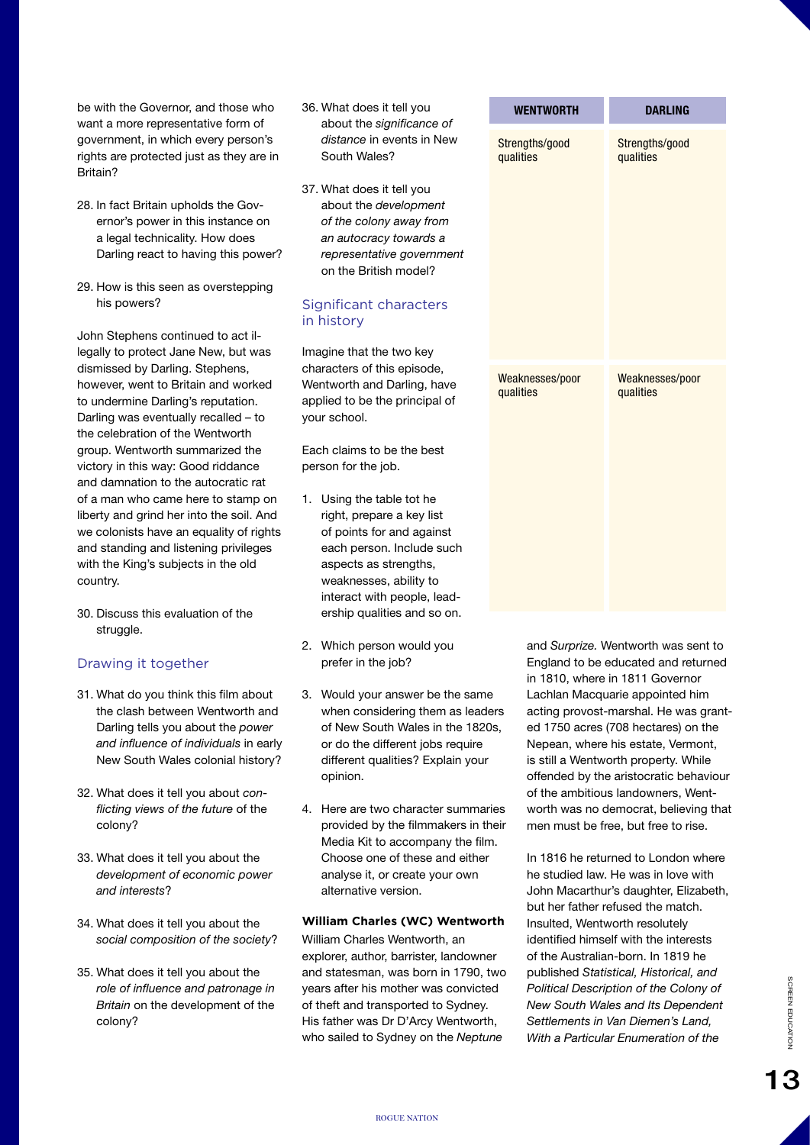be with the Governor, and those who want a more representative form of government, in which every person's rights are protected just as they are in Britain?

- 28. In fact Britain upholds the Governor's power in this instance on a legal technicality. How does Darling react to having this power?
- 29. How is this seen as overstepping his powers?

John Stephens continued to act illegally to protect Jane New, but was dismissed by Darling. Stephens, however, went to Britain and worked to undermine Darling's reputation. Darling was eventually recalled – to the celebration of the Wentworth group. Wentworth summarized the victory in this way: Good riddance and damnation to the autocratic rat of a man who came here to stamp on liberty and grind her into the soil. And we colonists have an equality of rights and standing and listening privileges with the King's subjects in the old country.

30. Discuss this evaluation of the struggle.

## Drawing it together

- 31. What do you think this film about the clash between Wentworth and Darling tells you about the *power and influence of individuals* in early New South Wales colonial history?
- 32. What does it tell you about *conflicting views of the future* of the colony?
- 33. What does it tell you about the *development of economic power and interests*?
- 34. What does it tell you about the *social composition of the society*?
- 35. What does it tell you about the *role of influence and patronage in Britain* on the development of the colony?
- 36. What does it tell you about the *significance of distance* in events in New South Wales?
- 37. What does it tell you about the *development of the colony away from an autocracy towards a representative government* on the British model?

#### Significant characters in history

Imagine that the two key characters of this episode, Wentworth and Darling, have applied to be the principal of your school.

Each claims to be the best person for the job.

- 1. Using the table tot he right, prepare a key list of points for and against each person. Include such aspects as strengths, weaknesses, ability to interact with people, leadership qualities and so on.
- 2. Which person would you prefer in the job?
- 3. Would your answer be the same when considering them as leaders of New South Wales in the 1820s, or do the different jobs require different qualities? Explain your opinion.
- 4. Here are two character summaries provided by the filmmakers in their Media Kit to accompany the film. Choose one of these and either analyse it, or create your own alternative version.

#### **William Charles (WC) Wentworth**

William Charles Wentworth, an explorer, author, barrister, landowner and statesman, was born in 1790, two years after his mother was convicted of theft and transported to Sydney. His father was Dr D'Arcy Wentworth, who sailed to Sydney on the *Neptune* 

| <b>WENTWORTH</b> | <b>DARLING</b>  |
|------------------|-----------------|
| Strengths/good   | Strengths/good  |
| qualities        | qualities       |
| Weaknesses/poor  | Weaknesses/poor |
| qualities        | qualities       |

and *Surprize.* Wentworth was sent to England to be educated and returned in 1810, where in 1811 Governor Lachlan Macquarie appointed him acting provost-marshal. He was granted 1750 acres (708 hectares) on the Nepean, where his estate, Vermont, is still a Wentworth property. While offended by the aristocratic behaviour of the ambitious landowners, Wentworth was no democrat, believing that men must be free, but free to rise.

In 1816 he returned to London where he studied law. He was in love with John Macarthur's daughter, Elizabeth, but her father refused the match. Insulted, Wentworth resolutely identified himself with the interests of the Australian-born. In 1819 he published *Statistical, Historical, and Political Description of the Colony of New South Wales and Its Dependent Settlements in Van Diemen's Land, With a Particular Enumeration of the*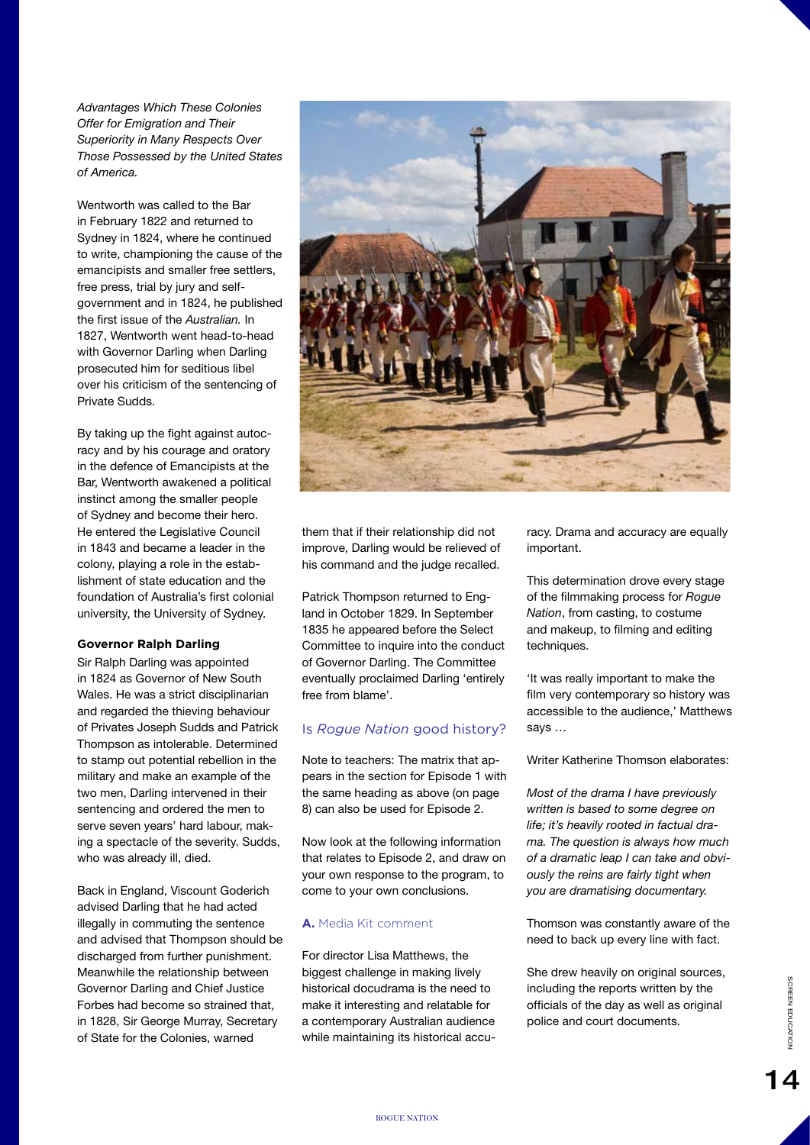*Advantages Which These Colonies Offer for Emigration and Their Superiority in Many Respects Over Those Possessed by the United States of America.*

Wentworth was called to the Bar in February 1822 and returned to Sydney in 1824, where he continued to write, championing the cause of the emancipists and smaller free settlers, free press, trial by jury and selfgovernment and in 1824, he published the first issue of the *Australian.* In 1827, Wentworth went head-to-head with Governor Darling when Darling prosecuted him for seditious libel over his criticism of the sentencing of Private Sudds.

By taking up the fight against autocracy and by his courage and oratory in the defence of Emancipists at the Bar, Wentworth awakened a political instinct among the smaller people of Sydney and become their hero. He entered the Legislative Council in 1843 and became a leader in the colony, playing a role in the establishment of state education and the foundation of Australia's first colonial university, the University of Sydney.

#### **Governor Ralph Darling**

Sir Ralph Darling was appointed in 1824 as Governor of New South Wales. He was a strict disciplinarian and regarded the thieving behaviour of Privates Joseph Sudds and Patrick Thompson as intolerable. Determined to stamp out potential rebellion in the military and make an example of the two men, Darling intervened in their sentencing and ordered the men to serve seven years' hard labour, making a spectacle of the severity. Sudds, who was already ill, died.

Back in England, Viscount Goderich advised Darling that he had acted illegally in commuting the sentence and advised that Thompson should be discharged from further punishment. Meanwhile the relationship between Governor Darling and Chief Justice Forbes had become so strained that, in 1828, Sir George Murray, Secretary of State for the Colonies, warned



them that if their relationship did not improve, Darling would be relieved of his command and the judge recalled.

Patrick Thompson returned to England in October 1829. In September 1835 he appeared before the Select Committee to inquire into the conduct of Governor Darling. The Committee eventually proclaimed Darling 'entirely free from blame'.

## Is *Rogue Nation* good history?

Note to teachers: The matrix that appears in the section for Episode 1 with the same heading as above (on page 8) can also be used for Episode 2.

Now look at the following information that relates to Episode 2, and draw on your own response to the program, to come to your own conclusions.

#### **A.** Media Kit comment

For director Lisa Matthews, the biggest challenge in making lively historical docudrama is the need to make it interesting and relatable for a contemporary Australian audience while maintaining its historical accuracy. Drama and accuracy are equally important.

This determination drove every stage of the filmmaking process for *Rogue Nation*, from casting, to costume and makeup, to filming and editing techniques.

'It was really important to make the film very contemporary so history was accessible to the audience,' Matthews says …

Writer Katherine Thomson elaborates:

*Most of the drama I have previously written is based to some degree on life; it's heavily rooted in factual drama. The question is always how much of a dramatic leap I can take and obviously the reins are fairly tight when you are dramatising documentary.*

Thomson was constantly aware of the need to back up every line with fact.

She drew heavily on original sources, including the reports written by the officials of the day as well as original police and court documents.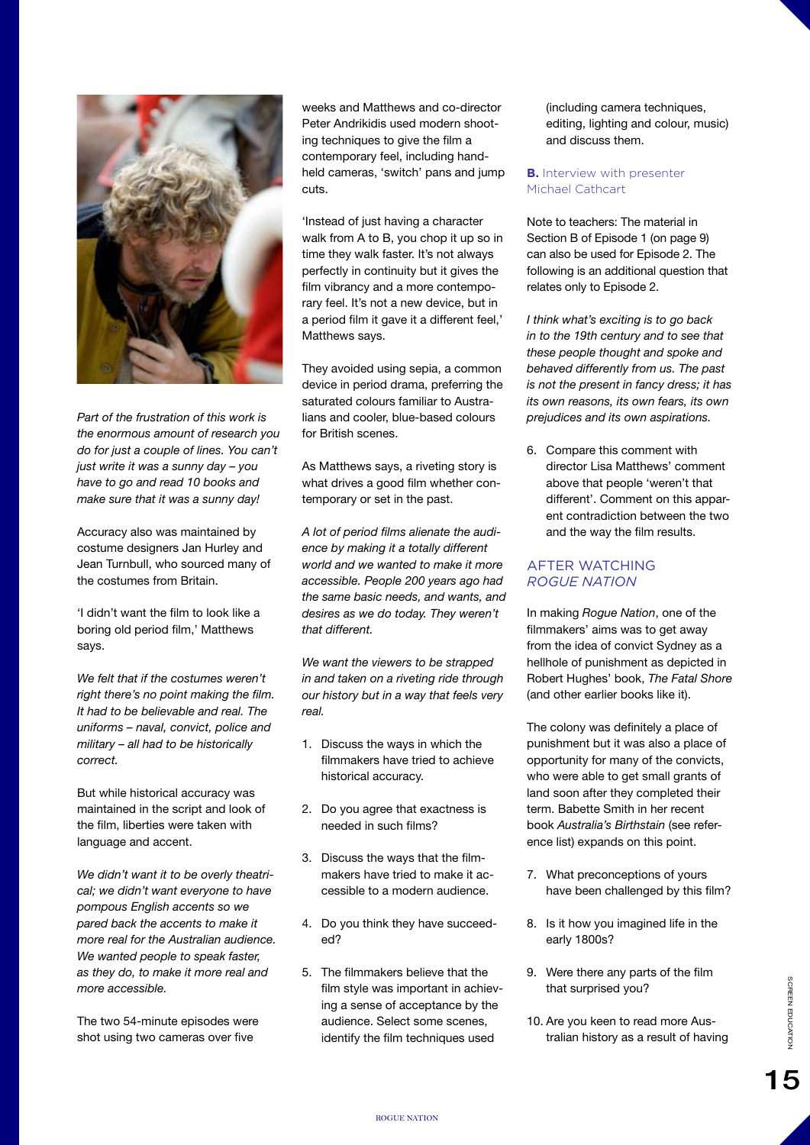

*Part of the frustration of this work is the enormous amount of research you do for just a couple of lines. You can't just write it was a sunny day – you have to go and read 10 books and make sure that it was a sunny day!*

Accuracy also was maintained by costume designers Jan Hurley and Jean Turnbull, who sourced many of the costumes from Britain.

'I didn't want the film to look like a boring old period film,' Matthews says.

*We felt that if the costumes weren't right there's no point making the film. It had to be believable and real. The uniforms – naval, convict, police and military – all had to be historically correct.*

But while historical accuracy was maintained in the script and look of the film, liberties were taken with language and accent.

*We didn't want it to be overly theatrical; we didn't want everyone to have pompous English accents so we pared back the accents to make it more real for the Australian audience. We wanted people to speak faster, as they do, to make it more real and more accessible.*

The two 54-minute episodes were shot using two cameras over five

weeks and Matthews and co-director Peter Andrikidis used modern shooting techniques to give the film a contemporary feel, including handheld cameras, 'switch' pans and jump cuts.

'Instead of just having a character walk from A to B, you chop it up so in time they walk faster. It's not always perfectly in continuity but it gives the film vibrancy and a more contemporary feel. It's not a new device, but in a period film it gave it a different feel,' Matthews says.

They avoided using sepia, a common device in period drama, preferring the saturated colours familiar to Australians and cooler, blue-based colours for British scenes.

As Matthews says, a riveting story is what drives a good film whether contemporary or set in the past.

*A lot of period films alienate the audience by making it a totally different world and we wanted to make it more accessible. People 200 years ago had the same basic needs, and wants, and desires as we do today. They weren't that different.*

*We want the viewers to be strapped in and taken on a riveting ride through our history but in a way that feels very real.*

- 1. Discuss the ways in which the filmmakers have tried to achieve historical accuracy.
- 2. Do you agree that exactness is needed in such films?
- 3. Discuss the ways that the filmmakers have tried to make it accessible to a modern audience.
- 4. Do you think they have succeeded?
- 5. The filmmakers believe that the film style was important in achieving a sense of acceptance by the audience. Select some scenes, identify the film techniques used

(including camera techniques, editing, lighting and colour, music) and discuss them.

**B.** Interview with presenter Michael Cathcart

Note to teachers: The material in Section B of Episode 1 (on page 9) can also be used for Episode 2. The following is an additional question that relates only to Episode 2.

*I think what's exciting is to go back in to the 19th century and to see that these people thought and spoke and behaved differently from us. The past is not the present in fancy dress; it has its own reasons, its own fears, its own prejudices and its own aspirations.*

6. Compare this comment with director Lisa Matthews' comment above that people 'weren't that different'. Comment on this apparent contradiction between the two and the way the film results.

# AFTER WATCHING *ROGUE NATION*

In making *Rogue Nation*, one of the filmmakers' aims was to get away from the idea of convict Sydney as a hellhole of punishment as depicted in Robert Hughes' book, *The Fatal Shore*  (and other earlier books like it).

The colony was definitely a place of punishment but it was also a place of opportunity for many of the convicts, who were able to get small grants of land soon after they completed their term. Babette Smith in her recent book *Australia's Birthstain* (see reference list) expands on this point.

- 7. What preconceptions of yours have been challenged by this film?
- 8. Is it how you imagined life in the early 1800s?
- 9. Were there any parts of the film that surprised you?
- 10. Are you keen to read more Australian history as a result of having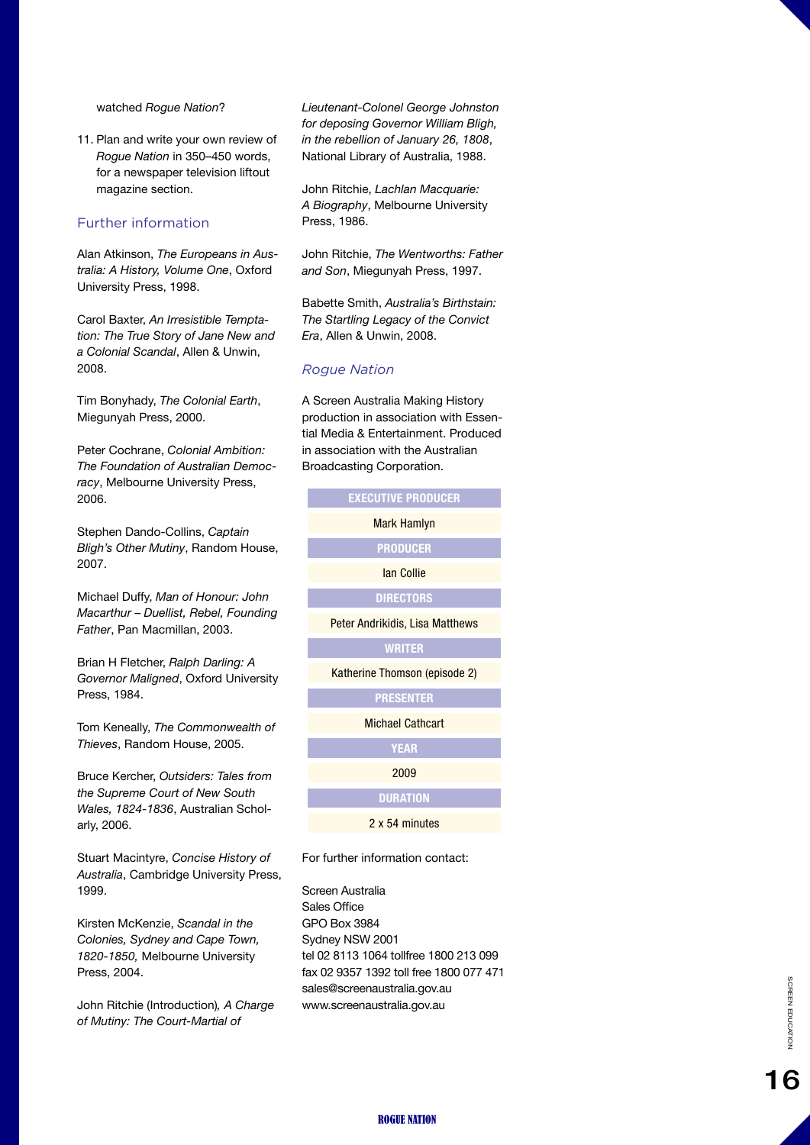watched *Rogue Nation* ?

11. Plan and write your own review of *Rogue Nation* in 350–450 words, for a newspaper television liftout magazine section.

## Further information

Alan Atkinson, *The Europeans in Aus tralia: A History, Volume One*, Oxford University Press, 1998.

Carol Baxter, *An Irresistible Tempta tion: The True Story of Jane New and a Colonial Scandal*, Allen & Unwin, 2008.

Tim Bonyhady, *The Colonial Earth*, Miegunyah Press, 2000.

Peter Cochrane, *Colonial Ambition: The Foundation of Australian Democ racy*, Melbourne University Press, 2006.

Stephen Dando-Collins, *Captain Bligh's Other Mutiny*, Random House, 2007.

Michael Duffy, *Man of Honour: John Macarthur – Duellist, Rebel, Founding Father*, Pan Macmillan, 2003.

Brian H Fletcher, *Ralph Darling: A Governor Maligned*, Oxford University Press, 1984.

Tom Keneally, *The Commonwealth of Thieves*, Random House, 2005.

Bruce Kercher, *Outsiders: Tales from the Supreme Court of New South Wales, 1824-1836*, Australian Schol arly, 2006.

Stuart Macintyre, *Concise History of Australia*, Cambridge University Press, 1999.

Kirsten McKenzie, *Scandal in the Colonies, Sydney and Cape Town, 1820-1850,* Melbourne University Press, 2004.

John Ritchie (Introduction)*, A Charge of Mutiny: The Court-Martial of* 

*Lieutenant-Colonel George Johnston for deposing Governor William Bligh, in the rebellion of January 26, 1808*, National Library of Australia, 1988.

John Ritchie, *Lachlan Macquarie: A Biography*, Melbourne University Press, 1986.

John Ritchie, *The Wentworths: Father and Son*, Miegunyah Press, 1997.

Babette Smith, *Australia's Birthstain: The Startling Legacy of the Convict Era*, Allen & Unwin, 2008.

A Screen Australia Making History production in association with Essen -

#### *Rogue Nation*

| tial Media & Entertainment. Produced<br>in association with the Australian<br>Broadcasting Corporation. |  |  |  |
|---------------------------------------------------------------------------------------------------------|--|--|--|
| <b>EXECUTIVE PRODUCER</b>                                                                               |  |  |  |
| <b>Mark Hamlyn</b>                                                                                      |  |  |  |
| <b>PRODUCER</b>                                                                                         |  |  |  |
| lan Collie                                                                                              |  |  |  |
| <b>DIRECTORS</b>                                                                                        |  |  |  |
| Peter Andrikidis, Lisa Matthews                                                                         |  |  |  |
| <b>WRITER</b>                                                                                           |  |  |  |
| Katherine Thomson (episode 2)                                                                           |  |  |  |
| <b>PRESENTER</b>                                                                                        |  |  |  |
| <b>Michael Cathcart</b>                                                                                 |  |  |  |
| <b>YEAR</b>                                                                                             |  |  |  |
| 2009                                                                                                    |  |  |  |
| <b>DURATION</b>                                                                                         |  |  |  |
| 2 x 54 minutes                                                                                          |  |  |  |

For further information contact:

Screen Australia Sales Office GPO Box 3984 Sydney NSW 2001 tel 02 8113 1064 tollfree 1800 213 099 fax 02 9357 1392 toll free 1800 077 471 sales@screenaustralia.gov.au www.screenaustralia.gov.a u

16 SCREEN EDGEWOOD